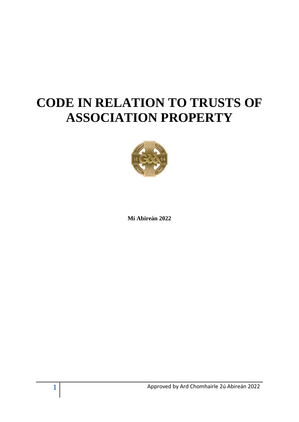# **CODE IN RELATION TO TRUSTS OF ASSOCIATION PROPERTY**



**Mí Abireán 2022**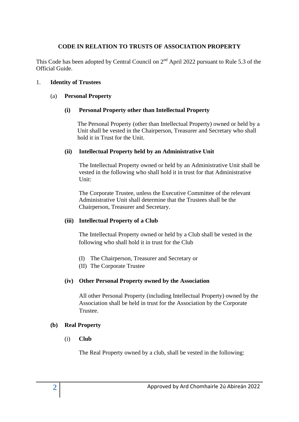# **CODE IN RELATION TO TRUSTS OF ASSOCIATION PROPERTY**

This Code has been adopted by Central Council on  $2<sup>nd</sup>$  April 2022 pursuant to Rule 5.3 of the Official Guide.

### 1. **Identity of Trustees**

#### (a) **Personal Property**

### **(i) Personal Property other than Intellectual Property**

The Personal Property (other than Intellectual Property) owned or held by a Unit shall be vested in the Chairperson, Treasurer and Secretary who shall hold it in Trust for the Unit.

### **(ii) Intellectual Property held by an Administrative Unit**

The Intellectual Property owned or held by an Administrative Unit shall be vested in the following who shall hold it in trust for that Administrative Unit:

The Corporate Trustee, unless the Executive Committee of the relevant Administrative Unit shall determine that the Trustees shall be the Chairperson, Treasurer and Secretary.

# **(iii) Intellectual Property of a Club**

The Intellectual Property owned or held by a Club shall be vested in the following who shall hold it in trust for the Club

- (I) The Chairperson, Treasurer and Secretary or
- (II) The Corporate Trustee

# **(iv) Other Personal Property owned by the Association**

All other Personal Property (including Intellectual Property) owned by the Association shall be held in trust for the Association by the Corporate Trustee.

#### **(b) Real Property**

(i) **Club** 

The Real Property owned by a club, shall be vested in the following: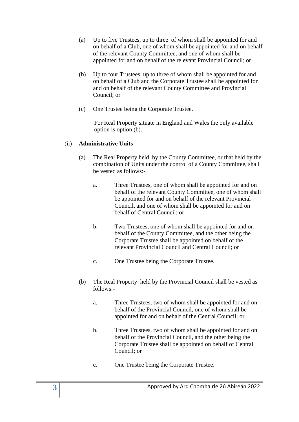- (a) Up to five Trustees, up to three of whom shall be appointed for and on behalf of a Club, one of whom shall be appointed for and on behalf of the relevant County Committee, and one of whom shall be appointed for and on behalf of the relevant Provincial Council; or
- (b) Up to four Trustees, up to three of whom shall be appointed for and on behalf of a Club and the Corporate Trustee shall be appointed for and on behalf of the relevant County Committee and Provincial Council; or
- (c) One Trustee being the Corporate Trustee.

For Real Property situate in England and Wales the only available option is option (b).

# (ii) **Administrative Units**

- (a) The Real Property held by the County Committee, or that held by the combination of Units under the control of a County Committee, shall be vested as follows:
	- a. Three Trustees, one of whom shall be appointed for and on behalf of the relevant County Committee, one of whom shall be appointed for and on behalf of the relevant Provincial Council, and one of whom shall be appointed for and on behalf of Central Council; or
	- b. Two Trustees, one of whom shall be appointed for and on behalf of the County Committee, and the other being the Corporate Trustee shall be appointed on behalf of the relevant Provincial Council and Central Council; or
	- c. One Trustee being the Corporate Trustee.
- (b) The Real Property held by the Provincial Council shall be vested as follows:
	- a. Three Trustees, two of whom shall be appointed for and on behalf of the Provincial Council, one of whom shall be appointed for and on behalf of the Central Council; or
	- b. Three Trustees, two of whom shall be appointed for and on behalf of the Provincial Council, and the other being the Corporate Trustee shall be appointed on behalf of Central Council; or
	- c. One Trustee being the Corporate Trustee.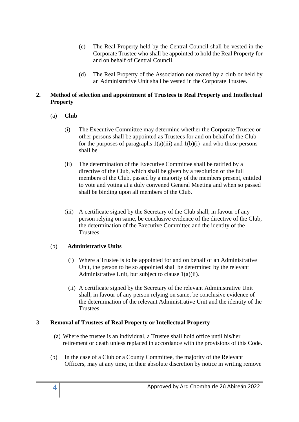- (c) The Real Property held by the Central Council shall be vested in the Corporate Trustee who shall be appointed to hold the Real Property for and on behalf of Central Council.
- (d) The Real Property of the Association not owned by a club or held by an Administrative Unit shall be vested in the Corporate Trustee.

# **2. Method of selection and appointment of Trustees to Real Property and Intellectual Property**

# (a) **Club**

- (i) The Executive Committee may determine whether the Corporate Trustee or other persons shall be appointed as Trustees for and on behalf of the Club for the purposes of paragraphs  $1(a)(iii)$  and  $1(b)(i)$  and who those persons shall be.
- (ii) The determination of the Executive Committee shall be ratified by a directive of the Club, which shall be given by a resolution of the full members of the Club, passed by a majority of the members present, entitled to vote and voting at a duly convened General Meeting and when so passed shall be binding upon all members of the Club.
- (iii) A certificate signed by the Secretary of the Club shall, in favour of any person relying on same, be conclusive evidence of the directive of the Club, the determination of the Executive Committee and the identity of the Trustees.

# (b) **Administrative Units**

- (i) Where a Trustee is to be appointed for and on behalf of an Administrative Unit, the person to be so appointed shall be determined by the relevant Administrative Unit, but subject to clause 1(a)(ii).
- (ii) A certificate signed by the Secretary of the relevant Administrative Unit shall, in favour of any person relying on same, be conclusive evidence of the determination of the relevant Administrative Unit and the identity of the **Trustees**

# 3. **Removal of Trustees of Real Property or Intellectual Property**

- (a) Where the trustee is an individual, a Trustee shall hold office until his/her retirement or death unless replaced in accordance with the provisions of this Code.
- (b) In the case of a Club or a County Committee, the majority of the Relevant Officers, may at any time, in their absolute discretion by notice in writing remove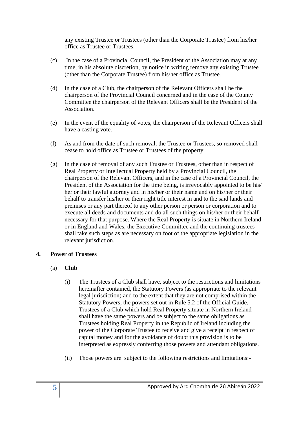any existing Trustee or Trustees (other than the Corporate Trustee) from his/her office as Trustee or Trustees.

- (c) In the case of a Provincial Council, the President of the Association may at any time, in his absolute discretion, by notice in writing remove any existing Trustee (other than the Corporate Trustee) from his/her office as Trustee.
- (d) In the case of a Club, the chairperson of the Relevant Officers shall be the chairperson of the Provincial Council concerned and in the case of the County Committee the chairperson of the Relevant Officers shall be the President of the Association.
- (e) In the event of the equality of votes, the chairperson of the Relevant Officers shall have a casting vote.
- (f) As and from the date of such removal, the Trustee or Trustees, so removed shall cease to hold office as Trustee or Trustees of the property.
- (g) In the case of removal of any such Trustee or Trustees, other than in respect of Real Property or Intellectual Property held by a Provincial Council, the chairperson of the Relevant Officers, and in the case of a Provincial Council, the President of the Association for the time being, is irrevocably appointed to be his/ her or their lawful attorney and in his/her or their name and on his/her or their behalf to transfer his/her or their right title interest in and to the said lands and premises or any part thereof to any other person or person or corporation and to execute all deeds and documents and do all such things on his/her or their behalf necessary for that purpose. Where the Real Property is situate in Northern Ireland or in England and Wales, the Executive Committee and the continuing trustees shall take such steps as are necessary on foot of the appropriate legislation in the relevant jurisdiction.

# **4. Power of Trustees**

- (a) **Club**
	- (i) The Trustees of a Club shall have, subject to the restrictions and limitations hereinafter contained, the Statutory Powers (as appropriate to the relevant legal jurisdiction) and to the extent that they are not comprised within the Statutory Powers, the powers set out in Rule 5.2 of the Official Guide. Trustees of a Club which hold Real Property situate in Northern Ireland shall have the same powers and be subject to the same obligations as Trustees holding Real Property in the Republic of Ireland including the power of the Corporate Trustee to receive and give a receipt in respect of capital money and for the avoidance of doubt this provision is to be interpreted as expressly conferring those powers and attendant obligations.
	- (ii) Those powers are subject to the following restrictions and limitations:-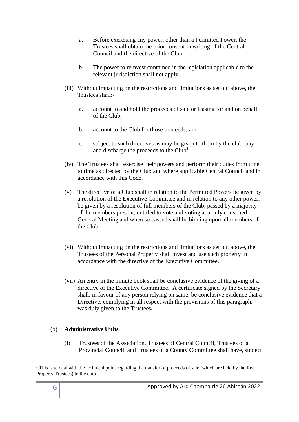- a. Before exercising any power, other than a Permitted Power, the Trustees shall obtain the prior consent in writing of the Central Council and the directive of the Club.
- b. The power to reinvest contained in the legislation applicable to the relevant jurisdiction shall not apply.
- (iii) Without impacting on the restrictions and limitations as set out above, the Trustees shall:
	- a. account to and hold the proceeds of sale or leasing for and on behalf of the Club;
	- b. account to the Club for those proceeds; and
	- c. subject to such directives as may be given to them by the club, pay and discharge the proceeds to the  $Club<sup>1</sup>$ .
- (iv) The Trustees shall exercise their powers and perform their duties from time to time as directed by the Club and where applicable Central Council and in accordance with this Code.
- (v) The directive of a Club shall in relation to the Permitted Powers be given by a resolution of the Executive Committee and in relation to any other power, be given by a resolution of full members of the Club, passed by a majority of the members present, entitled to vote and voting at a duly convened General Meeting and when so passed shall be binding upon all members of the Club**.**
- (vi) Without impacting on the restrictions and limitations as set out above, the Trustees of the Personal Property shall invest and use such property in accordance with the directive of the Executive Committee.
- (vii) An entry in the minute book shall be conclusive evidence of the giving of a directive of the Executive Committee. A certificate signed by the Secretary shall, in favour of any person relying on same, be conclusive evidence that a Directive, complying in all respect with the provisions of this paragraph, was duly given to the Trustees**.**

#### (b) **Administrative Units**

(i) Trustees of the Association, Trustees of Central Council, Trustees of a Provincial Council, and Trustees of a County Committee shall have, subject

<sup>&</sup>lt;sup>1</sup> This is to deal with the technical point regarding the transfer of proceeds of sale (which are held by the Real Property Trustees) to the club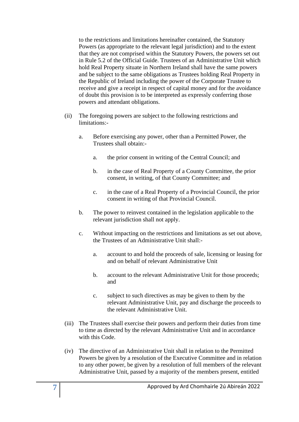to the restrictions and limitations hereinafter contained, the Statutory Powers (as appropriate to the relevant legal jurisdiction) and to the extent that they are not comprised within the Statutory Powers, the powers set out in Rule 5.2 of the Official Guide. Trustees of an Administrative Unit which hold Real Property situate in Northern Ireland shall have the same powers and be subject to the same obligations as Trustees holding Real Property in the Republic of Ireland including the power of the Corporate Trustee to receive and give a receipt in respect of capital money and for the avoidance of doubt this provision is to be interpreted as expressly conferring those powers and attendant obligations.

- (ii) The foregoing powers are subject to the following restrictions and limitations:
	- a. Before exercising any power, other than a Permitted Power, the Trustees shall obtain:
		- a. the prior consent in writing of the Central Council; and
		- b. in the case of Real Property of a County Committee, the prior consent, in writing, of that County Committee; and
		- c. in the case of a Real Property of a Provincial Council, the prior consent in writing of that Provincial Council.
	- b. The power to reinvest contained in the legislation applicable to the relevant jurisdiction shall not apply.
	- c. Without impacting on the restrictions and limitations as set out above, the Trustees of an Administrative Unit shall:
		- a. account to and hold the proceeds of sale, licensing or leasing for and on behalf of relevant Administrative Unit
		- b. account to the relevant Administrative Unit for those proceeds; and
		- c. subject to such directives as may be given to them by the relevant Administrative Unit, pay and discharge the proceeds to the relevant Administrative Unit.
- (iii) The Trustees shall exercise their powers and perform their duties from time to time as directed by the relevant Administrative Unit and in accordance with this Code.
- (iv) The directive of an Administrative Unit shall in relation to the Permitted Powers be given by a resolution of the Executive Committee and in relation to any other power, be given by a resolution of full members of the relevant Administrative Unit, passed by a majority of the members present, entitled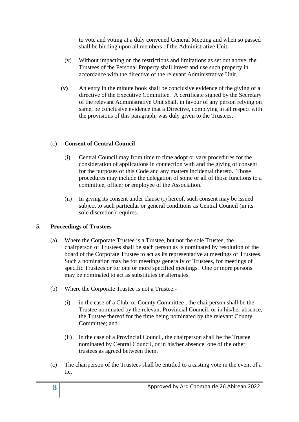to vote and voting at a duly convened General Meeting and when so passed shall be binding upon all members of the Administrative Unit**.**

- (v) Without impacting on the restrictions and limitations as set out above, the Trustees of the Personal Property shall invest and use such property in accordance with the directive of the relevant Administrative Unit.
- **(v)** An entry in the minute book shall be conclusive evidence of the giving of a directive of the Executive Committee. A certificate signed by the Secretary of the relevant Administrative Unit shall, in favour of any person relying on same, be conclusive evidence that a Directive, complying in all respect with the provisions of this paragraph, was duly given to the Trustees**.**

# (c) **Consent of Central Council**

- (i) Central Council may from time to time adopt or vary procedures for the consideration of applications in connection with and the giving of consent for the purposes of this Code and any matters incidental thereto. Those procedures may include the delegation of some or all of those functions to a committee, officer or employee of the Association.
- (ii) In giving its consent under clause (i) hereof, such consent may be issued subject to such particular or general conditions as Central Council (in its sole discretion) requires.

# **5. Proceedings of Trustees**

- (a) Where the Corporate Trustee is a Trustee, but not the sole Trustee, the chairperson of Trustees shall be such person as is nominated by resolution of the board of the Corporate Trustee to act as its representative at meetings of Trustees. Such a nomination may be for meetings generally of Trustees, for meetings of specific Trustees or for one or more specified meetings. One or more persons may be nominated to act as substitutes or alternates.
- (b) Where the Corporate Trustee is not a Trustee:-
	- (i) in the case of a Club, or County Committee , the chairperson shall be the Trustee nominated by the relevant Provincial Council; or in his/her absence, the Trustee thereof for the time being nominated by the relevant County Committee; and
	- (ii) in the case of a Provincial Council, the chairperson shall be the Trustee nominated by Central Council, or in his/her absence, one of the other trustees as agreed between them.
- (c) The chairperson of the Trustees shall be entitled to a casting vote in the event of a tie.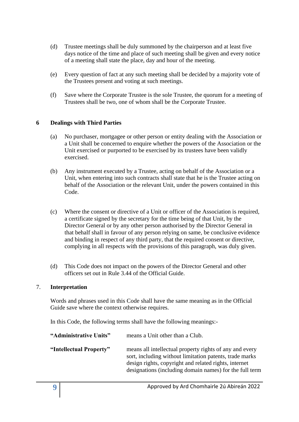- (d) Trustee meetings shall be duly summoned by the chairperson and at least five days notice of the time and place of such meeting shall be given and every notice of a meeting shall state the place, day and hour of the meeting.
- (e) Every question of fact at any such meeting shall be decided by a majority vote of the Trustees present and voting at such meetings.
- (f) Save where the Corporate Trustee is the sole Trustee, the quorum for a meeting of Trustees shall be two, one of whom shall be the Corporate Trustee.

# **6 Dealings with Third Parties**

- (a) No purchaser, mortgagee or other person or entity dealing with the Association or a Unit shall be concerned to enquire whether the powers of the Association or the Unit exercised or purported to be exercised by its trustees have been validly exercised.
- (b) Any instrument executed by a Trustee, acting on behalf of the Association or a Unit, when entering into such contracts shall state that he is the Trustee acting on behalf of the Association or the relevant Unit, under the powers contained in this Code.
- (c) Where the consent or directive of a Unit or officer of the Association is required, a certificate signed by the secretary for the time being of that Unit, by the Director General or by any other person authorised by the Director General in that behalf shall in favour of any person relying on same, be conclusive evidence and binding in respect of any third party, that the required consent or directive, complying in all respects with the provisions of this paragraph, was duly given.
- (d) This Code does not impact on the powers of the Director General and other officers set out in Rule 3.44 of the Official Guide.

# 7. **Interpretation**

Words and phrases used in this Code shall have the same meaning as in the Official Guide save where the context otherwise requires.

In this Code, the following terms shall have the following meanings:-

| "Administrative Units"  | means a Unit other than a Club.                                                                                                                                                                                                        |
|-------------------------|----------------------------------------------------------------------------------------------------------------------------------------------------------------------------------------------------------------------------------------|
| "Intellectual Property" | means all intellectual property rights of any and every<br>sort, including without limitation patents, trade marks<br>design rights, copyright and related rights, internet<br>designations (including domain names) for the full term |